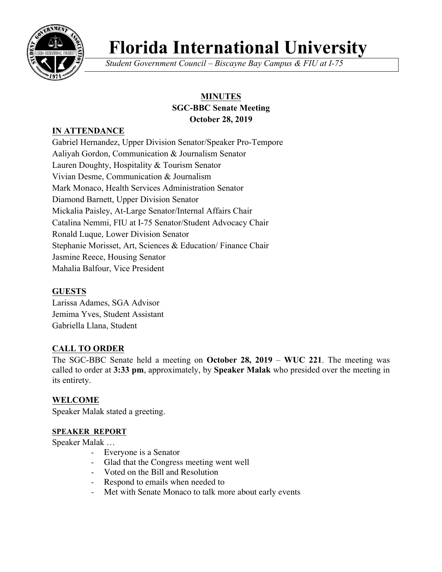

# **Florida International University**

*Student Government Council – Biscayne Bay Campus & FIU at I-75*

## **MINUTES SGC-BBC Senate Meeting October 28, 2019**

## **IN ATTENDANCE**

Gabriel Hernandez, Upper Division Senator/Speaker Pro-Tempore Aaliyah Gordon, Communication & Journalism Senator Lauren Doughty, Hospitality & Tourism Senator Vivian Desme, Communication & Journalism Mark Monaco, Health Services Administration Senator Diamond Barnett, Upper Division Senator Mickalia Paisley, At-Large Senator/Internal Affairs Chair Catalina Nemmi, FIU at I-75 Senator/Student Advocacy Chair Ronald Luque, Lower Division Senator Stephanie Morisset, Art, Sciences & Education/ Finance Chair Jasmine Reece, Housing Senator Mahalia Balfour, Vice President

## **GUESTS**

Larissa Adames, SGA Advisor Jemima Yves, Student Assistant Gabriella Llana, Student

## **CALL TO ORDER**

The SGC-BBC Senate held a meeting on **October 28, 2019** – **WUC 221**. The meeting was called to order at **3:33 pm**, approximately, by **Speaker Malak** who presided over the meeting in its entirety.

## **WELCOME**

Speaker Malak stated a greeting.

#### **SPEAKER REPORT**

Speaker Malak …

- Everyone is a Senator
- Glad that the Congress meeting went well
- Voted on the Bill and Resolution
- Respond to emails when needed to
- Met with Senate Monaco to talk more about early events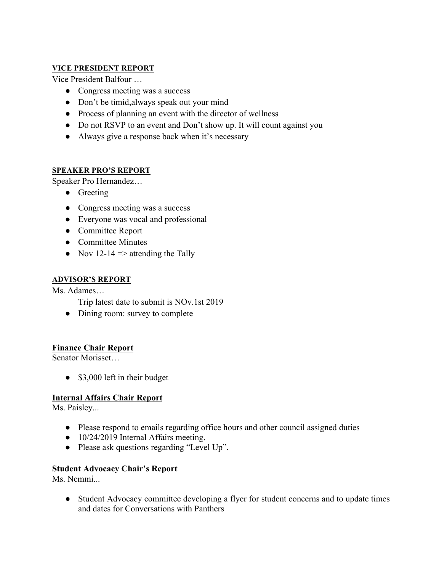#### **VICE PRESIDENT REPORT**

Vice President Balfour …

- Congress meeting was a success
- Don't be timid, always speak out your mind
- Process of planning an event with the director of wellness
- Do not RSVP to an event and Don't show up. It will count against you
- Always give a response back when it's necessary

#### **SPEAKER PRO'S REPORT**

Speaker Pro Hernandez…

- Greeting
- Congress meeting was a success
- Everyone was vocal and professional
- Committee Report
- Committee Minutes
- Nov 12-14  $\Rightarrow$  attending the Tally

#### **ADVISOR'S REPORT**

Ms. Adames…

Trip latest date to submit is NOv.1st 2019

• Dining room: survey to complete

#### **Finance Chair Report**

Senator Morisset…

• \$3,000 left in their budget

#### **Internal Affairs Chair Report**

Ms. Paisley...

- Please respond to emails regarding office hours and other council assigned duties
- 10/24/2019 Internal Affairs meeting.
- Please ask questions regarding "Level Up".

#### **Student Advocacy Chair's Report**

Ms. Nemmi...

• Student Advocacy committee developing a flyer for student concerns and to update times and dates for Conversations with Panthers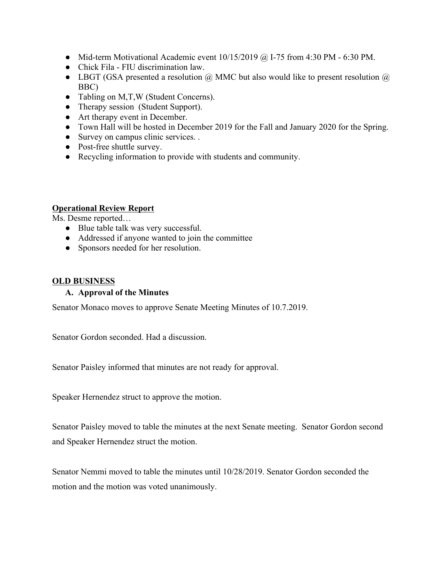- Mid-term Motivational Academic event  $10/15/2019$  @ I-75 from 4:30 PM 6:30 PM.
- Chick Fila FIU discrimination law.
- LBGT (GSA presented a resolution  $\omega$ ) MMC but also would like to present resolution  $\omega$ BBC)
- Tabling on M,T,W (Student Concerns).
- Therapy session (Student Support).
- Art therapy event in December.
- Town Hall will be hosted in December 2019 for the Fall and January 2020 for the Spring.
- Survey on campus clinic services. .
- Post-free shuttle survey.
- Recycling information to provide with students and community.

#### **Operational Review Report**

Ms. Desme reported…

- Blue table talk was very successful.
- Addressed if anyone wanted to join the committee
- Sponsors needed for her resolution.

#### **OLD BUSINESS**

#### **A. Approval of the Minutes**

Senator Monaco moves to approve Senate Meeting Minutes of 10.7.2019.

Senator Gordon seconded. Had a discussion.

Senator Paisley informed that minutes are not ready for approval.

Speaker Hernendez struct to approve the motion.

Senator Paisley moved to table the minutes at the next Senate meeting. Senator Gordon second and Speaker Hernendez struct the motion.

Senator Nemmi moved to table the minutes until 10/28/2019. Senator Gordon seconded the motion and the motion was voted unanimously.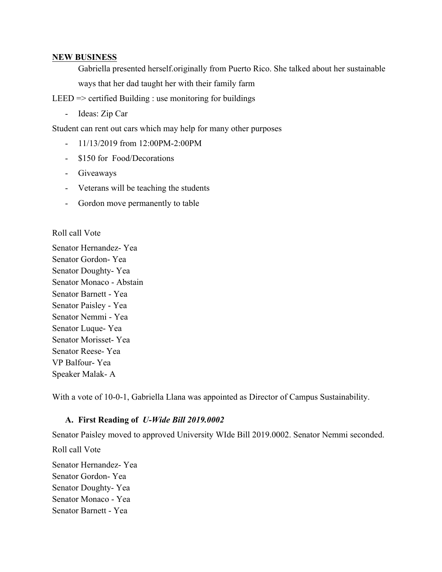#### **NEW BUSINESS**

Gabriella presented herself.originally from Puerto Rico. She talked about her sustainable ways that her dad taught her with their family farm

LEED  $\Rightarrow$  certified Building : use monitoring for buildings

- Ideas: Zip Car

Student can rent out cars which may help for many other purposes

- 11/13/2019 from 12:00PM-2:00PM
- \$150 for Food/Decorations
- Giveaways
- Veterans will be teaching the students
- Gordon move permanently to table

Roll call Vote

Senator Hernandez- Yea Senator Gordon- Yea Senator Doughty- Yea Senator Monaco - Abstain Senator Barnett - Yea Senator Paisley - Yea Senator Nemmi - Yea Senator Luque- Yea Senator Morisset- Yea Senator Reese- Yea VP Balfour- Yea Speaker Malak- A

With a vote of 10-0-1, Gabriella Llana was appointed as Director of Campus Sustainability.

#### **A. First Reading of** *U-Wide Bill 2019.0002*

Senator Paisley moved to approved University WIde Bill 2019.0002. Senator Nemmi seconded.

Roll call Vote

Senator Hernandez- Yea Senator Gordon- Yea Senator Doughty- Yea Senator Monaco - Yea Senator Barnett - Yea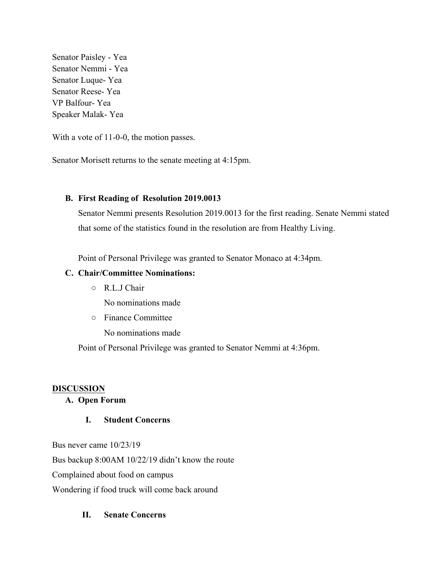Senator Paisley - Yea Senator Nemmi - Yea Senator Luque- Yea Senator Reese- Yea VP Balfour- Yea Speaker Malak- Yea

With a vote of 11-0-0, the motion passes.

Senator Morisett returns to the senate meeting at 4:15pm.

#### **B. First Reading of Resolution 2019.0013**

Senator Nemmi presents Resolution 2019.0013 for the first reading. Senate Nemmi stated that some of the statistics found in the resolution are from Healthy Living.

Point of Personal Privilege was granted to Senator Monaco at 4:34pm.

#### **C. Chair/Committee Nominations:**

○ R.L.J Chair

No nominations made

○ Finance Committee

No nominations made

Point of Personal Privilege was granted to Senator Nemmi at 4:36pm.

#### **DISCUSSION**

#### **A. Open Forum**

#### **I. Student Concerns**

Bus never came 10/23/19

Bus backup 8:00AM 10/22/19 didn't know the route

Complained about food on campus

Wondering if food truck will come back around

#### **II. Senate Concerns**